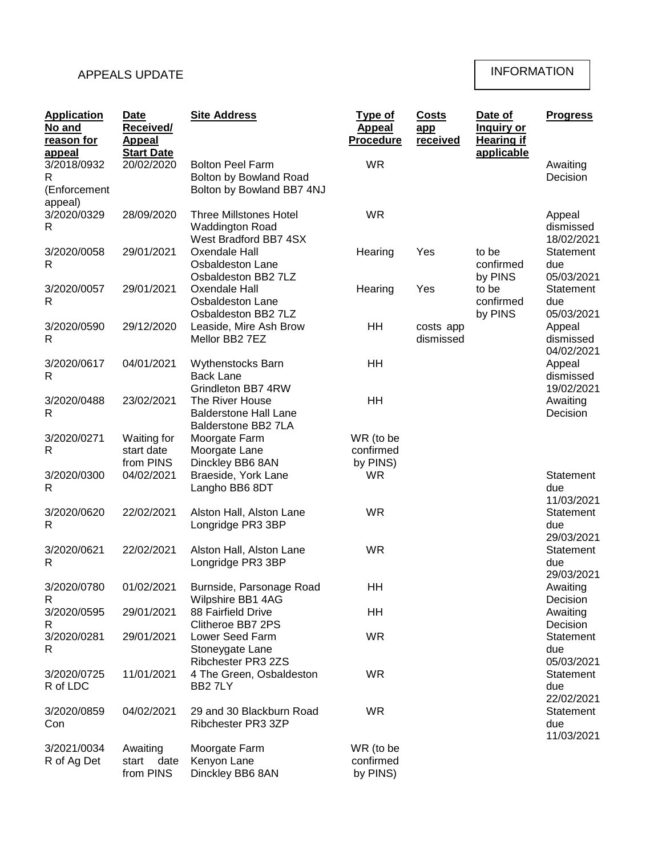## APPEALS UPDATE

## INFORMATION

| <b>Application</b><br>No and<br>reason for<br>appeal | <b>Date</b><br><b>Received/</b><br><b>Appeal</b><br><b>Start Date</b> | <b>Site Address</b>                                                              | <b>Type of</b><br><b>Appeal</b><br><b>Procedure</b> | <b>Costs</b><br>app<br>received | Date of<br><b>Inquiry or</b><br><b>Hearing if</b><br>applicable | <b>Progress</b>                   |
|------------------------------------------------------|-----------------------------------------------------------------------|----------------------------------------------------------------------------------|-----------------------------------------------------|---------------------------------|-----------------------------------------------------------------|-----------------------------------|
| 3/2018/0932<br>R<br>(Enforcement                     | 20/02/2020                                                            | <b>Bolton Peel Farm</b><br>Bolton by Bowland Road<br>Bolton by Bowland BB7 4NJ   | <b>WR</b>                                           |                                 |                                                                 | Awaiting<br>Decision              |
| appeal)<br>3/2020/0329<br>R                          | 28/09/2020                                                            | <b>Three Millstones Hotel</b><br><b>Waddington Road</b><br>West Bradford BB7 4SX | <b>WR</b>                                           |                                 |                                                                 | Appeal<br>dismissed<br>18/02/2021 |
| 3/2020/0058<br>R                                     | 29/01/2021                                                            | Oxendale Hall<br>Osbaldeston Lane<br>Osbaldeston BB2 7LZ                         | Hearing                                             | Yes                             | to be<br>confirmed<br>by PINS                                   | Statement<br>due<br>05/03/2021    |
| 3/2020/0057<br>$\mathsf{R}$                          | 29/01/2021                                                            | Oxendale Hall<br>Osbaldeston Lane<br>Osbaldeston BB2 7LZ                         | Hearing                                             | Yes                             | to be<br>confirmed<br>by PINS                                   | Statement<br>due<br>05/03/2021    |
| 3/2020/0590<br>R                                     | 29/12/2020                                                            | Leaside, Mire Ash Brow<br>Mellor BB2 7EZ                                         | HH                                                  | costs app<br>dismissed          |                                                                 | Appeal<br>dismissed<br>04/02/2021 |
| 3/2020/0617<br>R                                     | 04/01/2021                                                            | Wythenstocks Barn<br><b>Back Lane</b><br>Grindleton BB7 4RW                      | HH                                                  |                                 |                                                                 | Appeal<br>dismissed<br>19/02/2021 |
| 3/2020/0488<br>R                                     | 23/02/2021                                                            | The River House<br><b>Balderstone Hall Lane</b><br>Balderstone BB2 7LA           | HH                                                  |                                 |                                                                 | Awaiting<br>Decision              |
| 3/2020/0271<br>R                                     | Waiting for<br>start date<br>from PINS                                | Moorgate Farm<br>Moorgate Lane<br>Dinckley BB6 8AN                               | WR (to be<br>confirmed<br>by PINS)                  |                                 |                                                                 |                                   |
| 3/2020/0300<br>R                                     | 04/02/2021                                                            | Braeside, York Lane<br>Langho BB6 8DT                                            | <b>WR</b>                                           |                                 |                                                                 | Statement<br>due<br>11/03/2021    |
| 3/2020/0620<br>R                                     | 22/02/2021                                                            | Alston Hall, Alston Lane<br>Longridge PR3 3BP                                    | <b>WR</b>                                           |                                 |                                                                 | Statement<br>due<br>29/03/2021    |
| 3/2020/0621<br>R                                     | 22/02/2021                                                            | Alston Hall, Alston Lane<br>Longridge PR3 3BP                                    | <b>WR</b>                                           |                                 |                                                                 | Statement<br>due<br>29/03/2021    |
| 3/2020/0780<br>R                                     | 01/02/2021                                                            | Burnside, Parsonage Road<br>Wilpshire BB1 4AG                                    | HH                                                  |                                 |                                                                 | Awaiting<br>Decision              |
| 3/2020/0595<br>R                                     | 29/01/2021                                                            | 88 Fairfield Drive<br>Clitheroe BB7 2PS                                          | <b>HH</b>                                           |                                 |                                                                 | Awaiting<br>Decision              |
| 3/2020/0281<br>R                                     | 29/01/2021                                                            | Lower Seed Farm<br>Stoneygate Lane<br>Ribchester PR3 2ZS                         | <b>WR</b>                                           |                                 |                                                                 | Statement<br>due<br>05/03/2021    |
| 3/2020/0725<br>R of LDC                              | 11/01/2021                                                            | 4 The Green, Osbaldeston<br>BB27LY                                               | WR                                                  |                                 |                                                                 | Statement<br>due<br>22/02/2021    |
| 3/2020/0859<br>Con                                   | 04/02/2021                                                            | 29 and 30 Blackburn Road<br>Ribchester PR3 3ZP                                   | <b>WR</b>                                           |                                 |                                                                 | Statement<br>due<br>11/03/2021    |
| 3/2021/0034<br>R of Ag Det                           | Awaiting<br>start<br>date<br>from PINS                                | Moorgate Farm<br>Kenyon Lane<br>Dinckley BB6 8AN                                 | WR (to be<br>confirmed<br>by PINS)                  |                                 |                                                                 |                                   |